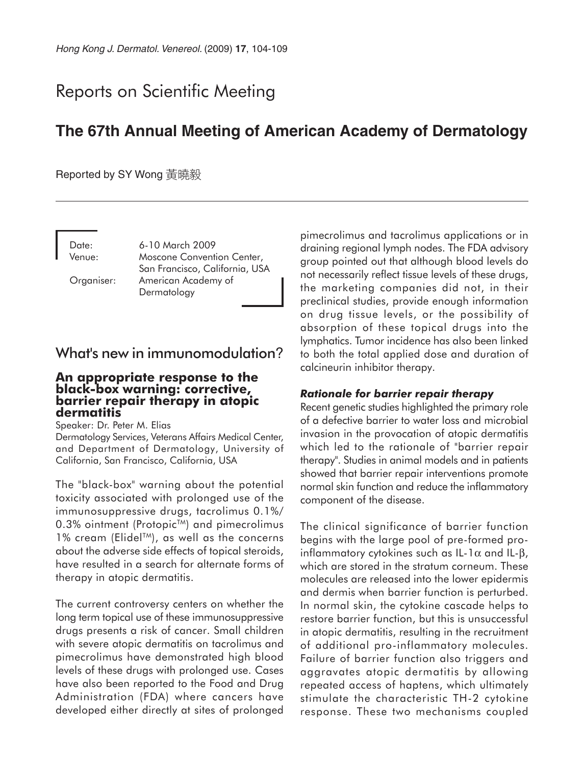# Reports on Scientific Meeting

# **The 67th Annual Meeting of American Academy of Dermatology**

Reported by SY Wong 黃曉毅

Date: 6-10 March 2009 Venue: Moscone Convention Center, San Francisco, California, USA Organiser: American Academy of Dermatology

# What's new in immunomodulation?

#### **An appropriate response to the black-box warning: corrective, barrier repair therapy in atopic dermatitis**

Speaker: Dr. Peter M. Elias

Dermatology Services, Veterans Affairs Medical Center, and Department of Dermatology, University of California, San Francisco, California, USA

The "black-box" warning about the potential toxicity associated with prolonged use of the immunosuppressive drugs, tacrolimus 0.1%/ 0.3% ointment (Protopic™) and pimecrolimus 1% cream (Elidel<sup>TM</sup>), as well as the concerns about the adverse side effects of topical steroids, have resulted in a search for alternate forms of therapy in atopic dermatitis.

The current controversy centers on whether the long term topical use of these immunosuppressive drugs presents a risk of cancer. Small children with severe atopic dermatitis on tacrolimus and pimecrolimus have demonstrated high blood levels of these drugs with prolonged use. Cases have also been reported to the Food and Drug Administration (FDA) where cancers have developed either directly at sites of prolonged pimecrolimus and tacrolimus applications or in draining regional lymph nodes. The FDA advisory group pointed out that although blood levels do not necessarily reflect tissue levels of these drugs, the marketing companies did not, in their preclinical studies, provide enough information on drug tissue levels, or the possibility of absorption of these topical drugs into the lymphatics. Tumor incidence has also been linked to both the total applied dose and duration of calcineurin inhibitor therapy.

#### *Rationale for barrier repair therapy*

Recent genetic studies highlighted the primary role of a defective barrier to water loss and microbial invasion in the provocation of atopic dermatitis which led to the rationale of "barrier repair therapy". Studies in animal models and in patients showed that barrier repair interventions promote normal skin function and reduce the inflammatory component of the disease.

The clinical significance of barrier function begins with the large pool of pre-formed proinflammatory cytokines such as IL-1 $\alpha$  and IL- $\beta$ , which are stored in the stratum corneum. These molecules are released into the lower epidermis and dermis when barrier function is perturbed. In normal skin, the cytokine cascade helps to restore barrier function, but this is unsuccessful in atopic dermatitis, resulting in the recruitment of additional pro-inflammatory molecules. Failure of barrier function also triggers and aggravates atopic dermatitis by allowing repeated access of haptens, which ultimately stimulate the characteristic TH-2 cytokine response. These two mechanisms coupled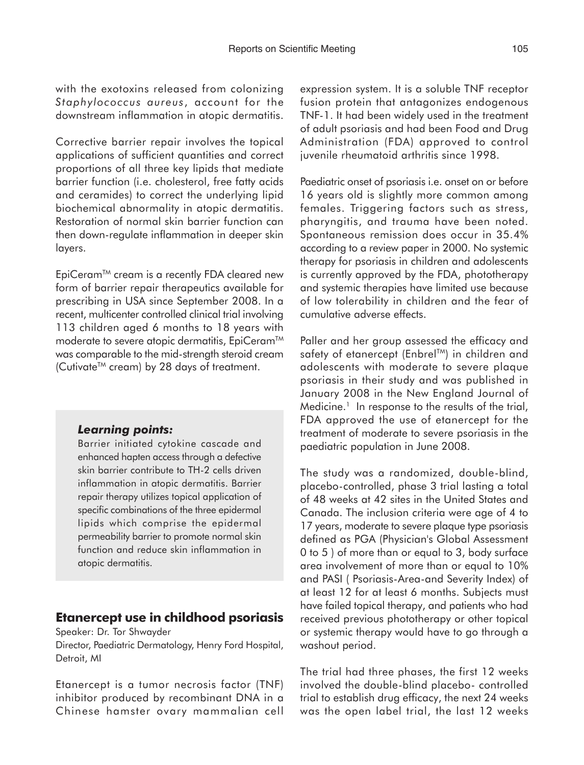with the exotoxins released from colonizing *Staphylococcus aureus*, account for the downstream inflammation in atopic dermatitis.

Corrective barrier repair involves the topical applications of sufficient quantities and correct proportions of all three key lipids that mediate barrier function (i.e. cholesterol, free fatty acids and ceramides) to correct the underlying lipid biochemical abnormality in atopic dermatitis. Restoration of normal skin barrier function can then down-regulate inflammation in deeper skin layers.

EpiCeram<sup>™</sup> cream is a recently FDA cleared new form of barrier repair therapeutics available for prescribing in USA since September 2008. In a recent, multicenter controlled clinical trial involving 113 children aged 6 months to 18 years with moderate to severe atopic dermatitis, EpiCeram<sup>™</sup> was comparable to the mid-strength steroid cream (Cutivate<sup>™</sup> cream) by 28 days of treatment.

#### *Learning points:*

Barrier initiated cytokine cascade and enhanced hapten access through a defective skin barrier contribute to TH-2 cells driven inflammation in atopic dermatitis. Barrier repair therapy utilizes topical application of specific combinations of the three epidermal lipids which comprise the epidermal permeability barrier to promote normal skin function and reduce skin inflammation in atopic dermatitis.

#### **Etanercept use in childhood psoriasis**

Speaker: Dr. Tor Shwayder

Director, Paediatric Dermatology, Henry Ford Hospital, Detroit, MI

Etanercept is a tumor necrosis factor (TNF) inhibitor produced by recombinant DNA in a Chinese hamster ovary mammalian cell

expression system. It is a soluble TNF receptor fusion protein that antagonizes endogenous TNF-1. It had been widely used in the treatment of adult psoriasis and had been Food and Drug Administration (FDA) approved to control juvenile rheumatoid arthritis since 1998.

Paediatric onset of psoriasis i.e. onset on or before 16 years old is slightly more common among females. Triggering factors such as stress, pharyngitis, and trauma have been noted. Spontaneous remission does occur in 35.4% according to a review paper in 2000. No systemic therapy for psoriasis in children and adolescents is currently approved by the FDA, phototherapy and systemic therapies have limited use because of low tolerability in children and the fear of cumulative adverse effects.

Paller and her group assessed the efficacy and safety of etanercept (Enbrel<sup>TM</sup>) in children and adolescents with moderate to severe plaque psoriasis in their study and was published in January 2008 in the New England Journal of  $Medicine.<sup>1</sup>$  In response to the results of the trial, FDA approved the use of etanercept for the treatment of moderate to severe psoriasis in the paediatric population in June 2008.

The study was a randomized, double-blind, placebo-controlled, phase 3 trial lasting a total of 48 weeks at 42 sites in the United States and Canada. The inclusion criteria were age of 4 to 17 years, moderate to severe plaque type psoriasis defined as PGA (Physician's Global Assessment 0 to 5 ) of more than or equal to 3, body surface area involvement of more than or equal to 10% and PASI ( Psoriasis-Area-and Severity Index) of at least 12 for at least 6 months. Subjects must have failed topical therapy, and patients who had received previous phototherapy or other topical or systemic therapy would have to go through a washout period.

The trial had three phases, the first 12 weeks involved the double-blind placebo- controlled trial to establish drug efficacy, the next 24 weeks was the open label trial, the last 12 weeks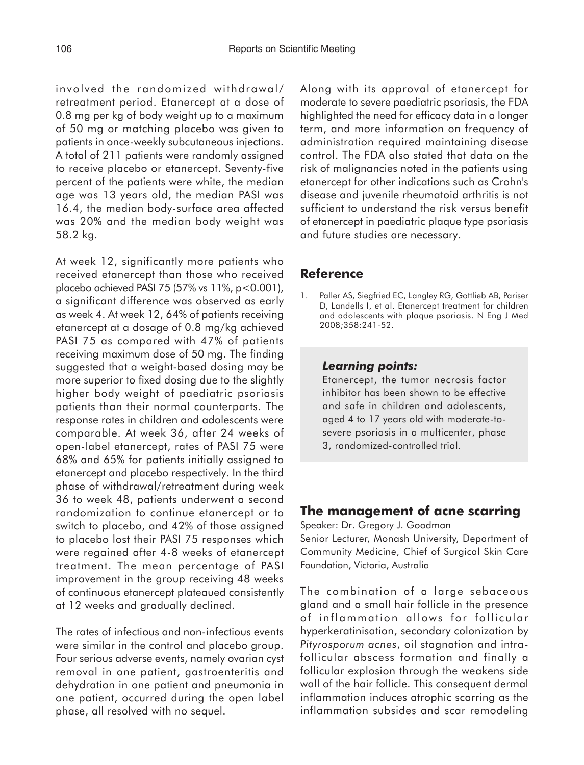involved the randomized withdrawal/ retreatment period. Etanercept at a dose of 0.8 mg per kg of body weight up to a maximum of 50 mg or matching placebo was given to patients in once-weekly subcutaneous injections. A total of 211 patients were randomly assigned to receive placebo or etanercept. Seventy-five percent of the patients were white, the median age was 13 years old, the median PASI was 16.4, the median body-surface area affected was 20% and the median body weight was 58.2 kg.

At week 12, significantly more patients who received etanercept than those who received placebo achieved PASI 75 (57% vs 11%, p<0.001), a significant difference was observed as early as week 4. At week 12, 64% of patients receiving etanercept at a dosage of 0.8 mg/kg achieved PASI 75 as compared with 47% of patients receiving maximum dose of 50 mg. The finding suggested that a weight-based dosing may be more superior to fixed dosing due to the slightly higher body weight of paediatric psoriasis patients than their normal counterparts. The response rates in children and adolescents were comparable. At week 36, after 24 weeks of open-label etanercept, rates of PASI 75 were 68% and 65% for patients initially assigned to etanercept and placebo respectively. In the third phase of withdrawal/retreatment during week 36 to week 48, patients underwent a second randomization to continue etanercept or to switch to placebo, and 42% of those assigned to placebo lost their PASI 75 responses which were regained after 4-8 weeks of etanercept treatment. The mean percentage of PASI improvement in the group receiving 48 weeks of continuous etanercept plateaued consistently at 12 weeks and gradually declined.

The rates of infectious and non-infectious events were similar in the control and placebo group. Four serious adverse events, namely ovarian cyst removal in one patient, gastroenteritis and dehydration in one patient and pneumonia in one patient, occurred during the open label phase, all resolved with no sequel.

Along with its approval of etanercept for moderate to severe paediatric psoriasis, the FDA highlighted the need for efficacy data in a longer term, and more information on frequency of administration required maintaining disease control. The FDA also stated that data on the risk of malignancies noted in the patients using etanercept for other indications such as Crohn's disease and juvenile rheumatoid arthritis is not sufficient to understand the risk versus benefit of etanercept in paediatric plaque type psoriasis and future studies are necessary.

## **Reference**

1. Paller AS, Siegfried EC, Langley RG, Gottlieb AB, Pariser D, Landells I, et al. Etanercept treatment for children and adolescents with plaque psoriasis. N Eng J Med 2008;358:241-52.

#### *Learning points:*

Etanercept, the tumor necrosis factor inhibitor has been shown to be effective and safe in children and adolescents, aged 4 to 17 years old with moderate-tosevere psoriasis in a multicenter, phase 3, randomized-controlled trial.

# **The management of acne scarring**

Speaker: Dr. Gregory J. Goodman

Senior Lecturer, Monash University, Department of Community Medicine, Chief of Surgical Skin Care Foundation, Victoria, Australia

The combination of a large sebaceous gland and a small hair follicle in the presence of inflammation allows for follicular hyperkeratinisation, secondary colonization by *Pityrosporum acnes*, oil stagnation and intrafollicular abscess formation and finally a follicular explosion through the weakens side wall of the hair follicle. This consequent dermal inflammation induces atrophic scarring as the inflammation subsides and scar remodeling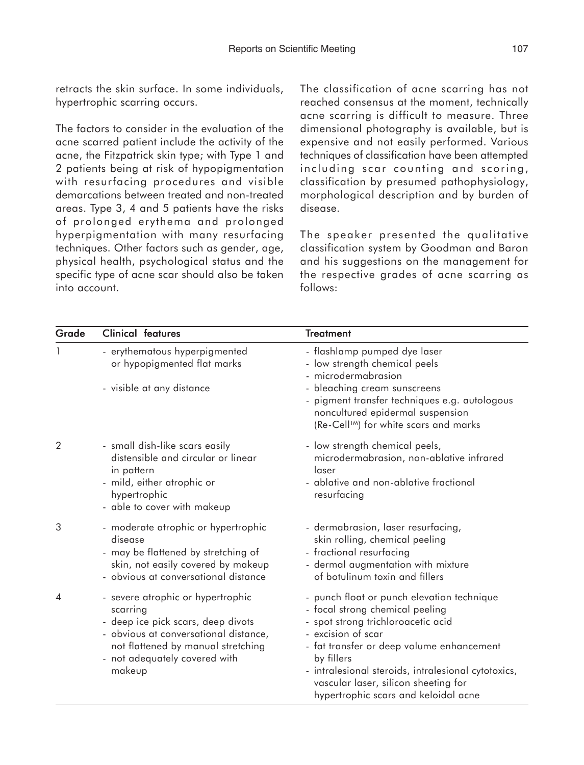retracts the skin surface. In some individuals, hypertrophic scarring occurs.

The factors to consider in the evaluation of the acne scarred patient include the activity of the acne, the Fitzpatrick skin type; with Type 1 and 2 patients being at risk of hypopigmentation with resurfacing procedures and visible demarcations between treated and non-treated areas. Type 3, 4 and 5 patients have the risks of prolonged erythema and prolonged hyperpigmentation with many resurfacing techniques. Other factors such as gender, age, physical health, psychological status and the specific type of acne scar should also be taken into account.

The classification of acne scarring has not reached consensus at the moment, technically acne scarring is difficult to measure. Three dimensional photography is available, but is expensive and not easily performed. Various techniques of classification have been attempted including scar counting and scoring, classification by presumed pathophysiology, morphological description and by burden of disease.

The speaker presented the qualitative classification system by Goodman and Baron and his suggestions on the management for the respective grades of acne scarring as follows:

| Grade          | <b>Clinical features</b>                                                                                                                                                                                      | <b>Treatment</b>                                                                                                                                                                                                                                                                                                                            |
|----------------|---------------------------------------------------------------------------------------------------------------------------------------------------------------------------------------------------------------|---------------------------------------------------------------------------------------------------------------------------------------------------------------------------------------------------------------------------------------------------------------------------------------------------------------------------------------------|
|                | - erythematous hyperpigmented<br>or hypopigmented flat marks<br>- visible at any distance                                                                                                                     | - flashlamp pumped dye laser<br>- low strength chemical peels<br>- microdermabrasion<br>- bleaching cream sunscreens<br>- pigment transfer techniques e.g. autologous<br>noncultured epidermal suspension<br>(Re-Cell <sup>™)</sup> for white scars and marks                                                                               |
| $\overline{2}$ | - small dish-like scars easily<br>distensible and circular or linear<br>in pattern<br>- mild, either atrophic or<br>hypertrophic<br>- able to cover with makeup                                               | - low strength chemical peels,<br>microdermabrasion, non-ablative infrared<br>laser<br>- ablative and non-ablative fractional<br>resurfacing                                                                                                                                                                                                |
| 3              | - moderate atrophic or hypertrophic<br>disease<br>- may be flattened by stretching of<br>skin, not easily covered by makeup<br>- obvious at conversational distance                                           | - dermabrasion, laser resurfacing,<br>skin rolling, chemical peeling<br>- fractional resurfacing<br>- dermal augmentation with mixture<br>of botulinum toxin and fillers                                                                                                                                                                    |
| $\overline{4}$ | - severe atrophic or hypertrophic<br>scarring<br>- deep ice pick scars, deep divots<br>- obvious at conversational distance,<br>not flattened by manual stretching<br>- not adequately covered with<br>makeup | - punch float or punch elevation technique<br>- focal strong chemical peeling<br>- spot strong trichloroacetic acid<br>- excision of scar<br>- fat transfer or deep volume enhancement<br>by fillers<br>- intralesional steroids, intralesional cytotoxics,<br>vascular laser, silicon sheeting for<br>hypertrophic scars and keloidal acne |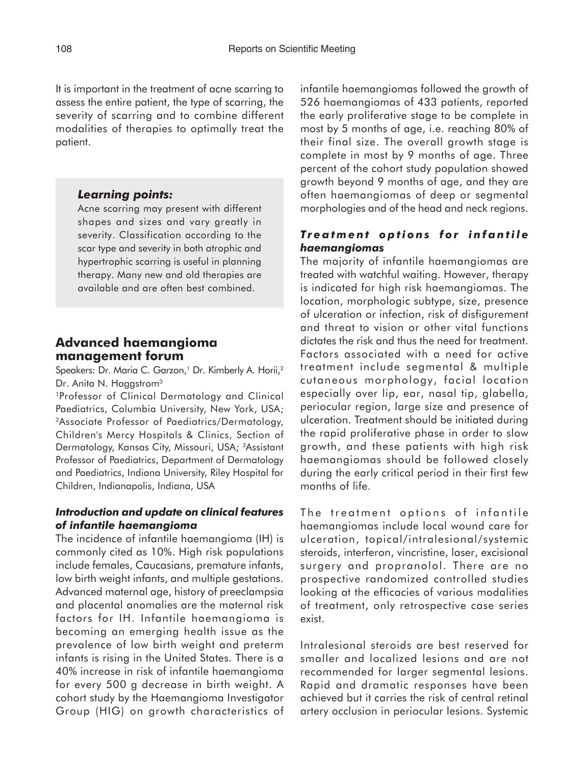It is important in the treatment of acne scarring to assess the entire patient, the type of scarring, the severity of scarring and to combine different modalities of therapies to optimally treat the patient.

#### *Learning points:*

Acne scarring may present with different shapes and sizes and vary greatly in severity. Classification according to the scar type and severity in both atrophic and hypertrophic scarring is useful in planning therapy. Many new and old therapies are available and are often best combined.

### **Advanced haemangioma management forum**

Speakers: Dr. Maria C. Garzon,<sup>1</sup> Dr. Kimberly A. Horii,<sup>2</sup> Dr. Anita N. Haggstrom<sup>3</sup>

1Professor of Clinical Dermatology and Clinical Paediatrics, Columbia University, New York, USA; 2Associate Professor of Paediatrics/Dermatology, Children's Mercy Hospitals & Clinics, Section of Dermatology, Kansas City, Missouri, USA; 3Assistant Professor of Paediatrics, Department of Dermatology and Paediatrics, Indiana University, Riley Hospital for Children, Indianapolis, Indiana, USA

#### *Introduction and update on clinical features of infantile haemangioma*

The incidence of infantile haemangioma (IH) is commonly cited as 10%. High risk populations include females, Caucasians, premature infants, low birth weight infants, and multiple gestations. Advanced maternal age, history of preeclampsia and placental anomalies are the maternal risk factors for IH. Infantile haemangioma is becoming an emerging health issue as the prevalence of low birth weight and preterm infants is rising in the United States. There is a 40% increase in risk of infantile haemangioma for every 500 g decrease in birth weight. A cohort study by the Haemangioma Investigator Group (HIG) on growth characteristics of infantile haemangiomas followed the growth of 526 haemangiomas of 433 patients, reported the early proliferative stage to be complete in most by 5 months of age, i.e. reaching 80% of their final size. The overall growth stage is complete in most by 9 months of age. Three percent of the cohort study population showed growth beyond 9 months of age, and they are often haemangiomas of deep or segmental morphologies and of the head and neck regions.

### *Treatment options for infantile haemangiomas*

The majority of infantile haemangiomas are treated with watchful waiting. However, therapy is indicated for high risk haemangiomas. The location, morphologic subtype, size, presence of ulceration or infection, risk of disfigurement and threat to vision or other vital functions dictates the risk and thus the need for treatment. Factors associated with a need for active treatment include segmental & multiple cutaneous morphology, facial location especially over lip, ear, nasal tip, glabella, periocular region, large size and presence of ulceration. Treatment should be initiated during the rapid proliferative phase in order to slow growth, and these patients with high risk haemangiomas should be followed closely during the early critical period in their first few months of life.

The treatment options of infantile haemangiomas include local wound care for ulceration, topical/intralesional/systemic steroids, interferon, vincristine, laser, excisional surgery and propranolol. There are no prospective randomized controlled studies looking at the efficacies of various modalities of treatment, only retrospective case series exist.

Intralesional steroids are best reserved for smaller and localized lesions and are not recommended for larger segmental lesions. Rapid and dramatic responses have been achieved but it carries the risk of central retinal artery occlusion in periocular lesions. Systemic